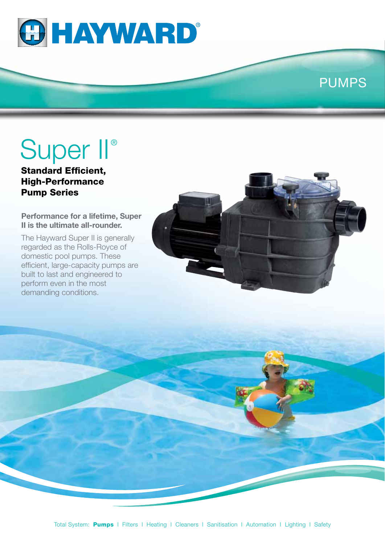

## PUMPS

# Super II®

Standard Efficient, High-Performance Pump Series

#### **Performance for a lifetime, Super II is the ultimate all-rounder.**

The Hayward Super II is generally regarded as the Rolls-Royce of domestic pool pumps. These efficient, large-capacity pumps are built to last and engineered to perform even in the most demanding conditions.